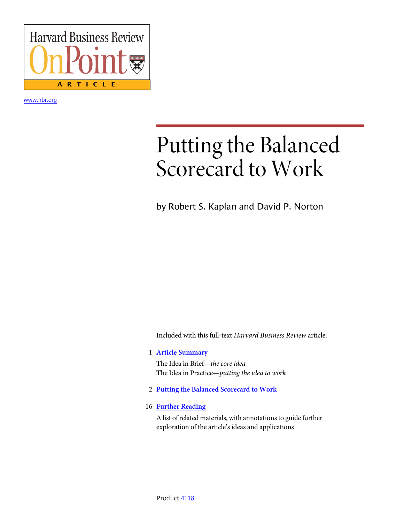

[www.hbr.org](http://www.hbr.org)

# Putting the Balanced Scorecard to Work

by Robert S. Kaplan and David P. Norton

Included with this full-text *Harvard Business Review* article:

1 **[Article Summary](#page-1-0)**

The Idea in Brief—*the core idea* The Idea in Practice—*putting the idea to work*

- 2 **[Putting the Balanced Scorecard to Work](#page-2-0)**
- 16 **[Further Reading](#page-16-0)**

A list of related materials, with annotations to guide further exploration of the article's ideas and applications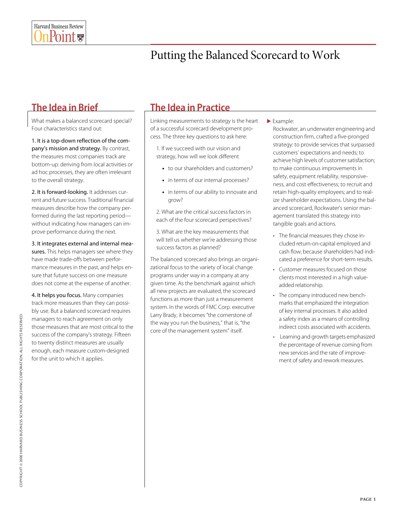## Putting the Balanced Scorecard to Work

<span id="page-1-0"></span>What makes a balanced scorecard special? Four characteristics stand out:

1. It is a top-down reflection of the company's mission and strategy. By contrast, the measures most companies track are bottom-up: deriving from local activities or ad hoc processes, they are often irrelevant to the overall strategy.

2. It is forward-looking. It addresses current and future success. Traditional financial measures describe how the company performed during the last reporting period without indicating how managers can improve performance during the next.

3. It integrates external and internal measures. This helps managers see where they have made trade-offs between performance measures in the past, and helps ensure that future success on one measure does not come at the expense of another.

4. It helps you focus. Many companies track more measures than they can possibly use. But a balanced scorecard requires managers to reach agreement on only those measures that are most critical to the success of the company's strategy. Fifteen to twenty distinct measures are usually enough, each measure custom-designed for the unit to which it applies.

## **The Idea in Brief The Idea in Practice**

Linking measurements to strategy is the heart of a successful scorecard development process. The three key questions to ask here:

1. If we succeed with our vision and strategy, how will we look different

- **•** to our shareholders and customers?
- **•** in terms of our internal processes?
- **•** in terms of our ability to innovate and grow?

2. What are the critical success factors in each of the four scorecard perspectives?

3. What are the key measurements that will tell us whether we're addressing those success factors as planned?

The balanced scorecard also brings an organizational focus to the variety of local change programs under way in a company at any given time. As the benchmark against which all new projects are evaluated, the scorecard functions as more than just a measurement system. In the words of FMC Corp. executive Larry Brady, it becomes "the cornerstone of the way you run the business," that is, "the core of the management system" itself.

Example:

Rockwater, an underwater engineering and construction firm, crafted a five-pronged strategy: to provide services that surpassed customers' expectations and needs; to achieve high levels of customer satisfaction; to make continuous improvements in safety, equipment reliability, responsiveness, and cost effectiveness; to recruit and retain high-quality employees; and to realize shareholder expectations. Using the balanced scorecard, Rockwater's senior management translated this strategy into tangible goals and actions.

- The financial measures they chose included return-on-capital employed and cash flow, because shareholders had indicated a preference for short-term results.
- Customer measures focused on those clients most interested in a high valueadded relationship.
- The company introduced new benchmarks that emphasized the integration of key internal processes. It also added a safety index as a means of controlling indirect costs associated with accidents.
- Learning and growth targets emphasized the percentage of revenue coming from new services and the rate of improvement of safety and rework measures.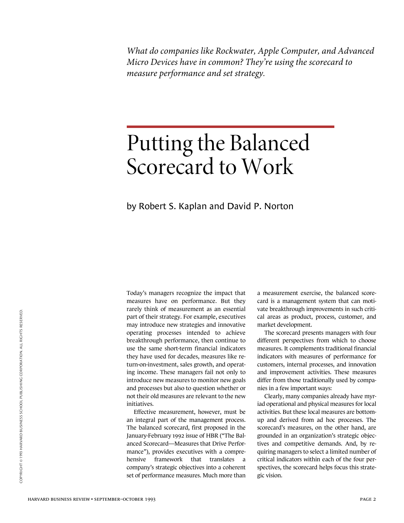*What do companies like Rockwater, Apple Computer, and Advanced Micro Devices have in common? They're using the scorecard to measure performance and set strategy.*

## Putting the Balanced Scorecard to Work

by Robert S. Kaplan and David P. Norton

<span id="page-2-0"></span>Today's managers recognize the impact that measures have on performance. But they rarely think of measurement as an essential part of their strategy. For example, executives may introduce new strategies and innovative operating processes intended to achieve breakthrough performance, then continue to use the same short-term financial indicators they have used for decades, measures like return-on-investment, sales growth, and operating income. These managers fail not only to introduce new measures to monitor new goals and processes but also to question whether or not their old measures are relevant to the new initiatives.

Effective measurement, however, must be an integral part of the management process. The balanced scorecard, first proposed in the January-February 1992 issue of HBR ("The Balanced Scorecard—Measures that Drive Performance"), provides executives with a comprehensive framework that translates a company's strategic objectives into a coherent set of performance measures. Much more than

a measurement exercise, the balanced scorecard is a management system that can motivate breakthrough improvements in such critical areas as product, process, customer, and market development.

The scorecard presents managers with four different perspectives from which to choose measures. It complements traditional financial indicators with measures of performance for customers, internal processes, and innovation and improvement activities. These measures differ from those traditionally used by companies in a few important ways:

Clearly, many companies already have myriad operational and physical measures for local activities. But these local measures are bottomup and derived from ad hoc processes. The scorecard's measures, on the other hand, are grounded in an organization's strategic objectives and competitive demands. And, by requiring managers to select a limited number of critical indicators within each of the four perspectives, the scorecard helps focus this strategic vision.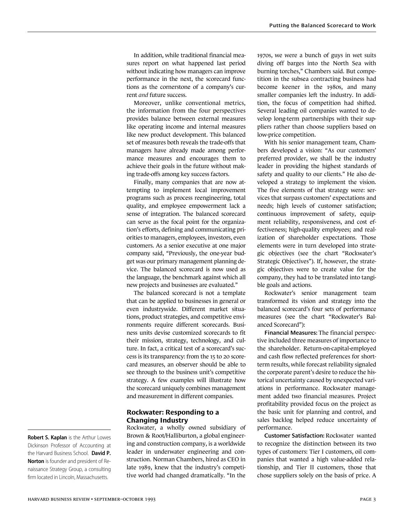In addition, while traditional financial measures report on what happened last period without indicating how managers can improve performance in the next, the scorecard functions as the cornerstone of a company's current *and* future success.

Moreover, unlike conventional metrics, the information from the four perspectives provides balance between external measures like operating income and internal measures like new product development. This balanced set of measures both reveals the trade-offs that managers have already made among performance measures and encourages them to achieve their goals in the future without making trade-offs among key success factors.

Finally, many companies that are now attempting to implement local improvement programs such as process reengineering, total quality, and employee empowerment lack a sense of integration. The balanced scorecard can serve as the focal point for the organization's efforts, defining and communicating priorities to managers, employees, investors, even customers. As a senior executive at one major company said, "Previously, the one-year budget was our primary management planning device. The balanced scorecard is now used as the language, the benchmark against which all new projects and businesses are evaluated."

The balanced scorecard is not a template that can be applied to businesses in general or even industrywide. Different market situations, product strategies, and competitive environments require different scorecards. Business units devise customized scorecards to fit their mission, strategy, technology, and culture. In fact, a critical test of a scorecard's success is its transparency: from the 15 to 20 scorecard measures, an observer should be able to see through to the business unit's competitive strategy. A few examples will illustrate how the scorecard uniquely combines management and measurement in different companies.

#### **Rockwater: Responding to a Changing Industry**

Rockwater, a wholly owned subsidiary of Brown & Root/Halliburton, a global engineering and construction company, is a worldwide leader in underwater engineering and construction. Norman Chambers, hired as CEO in late 1989, knew that the industry's competitive world had changed dramatically. "In the

1970s, we were a bunch of guys in wet suits diving off barges into the North Sea with burning torches," Chambers said. But competition in the subsea contracting business had become keener in the 1980s, and many smaller companies left the industry. In addition, the focus of competition had shifted. Several leading oil companies wanted to develop long-term partnerships with their suppliers rather than choose suppliers based on low-price competition.

With his senior management team, Chambers developed a vision: "As our customers' preferred provider, we shall be the industry leader in providing the highest standards of safety and quality to our clients." He also developed a strategy to implement the vision. The five elements of that strategy were: services that surpass customers' expectations and needs; high levels of customer satisfaction; continuous improvement of safety, equipment reliability, responsiveness, and cost effectiveness; high-quality employees; and realization of shareholder expectations. Those elements were in turn developed into strategic objectives (see the chart "Rockwater's Strategic Objectives"). If, however, the strategic objectives were to create value for the company, they had to be translated into tangible goals and actions.

Rockwater's senior management team transformed its vision and strategy into the balanced scorecard's four sets of performance measures (see the chart "Rockwater's Balanced Scorecard"):

**Financial Measures:** The financial perspective included three measures of importance to the shareholder. Return-on-capital-employed and cash flow reflected preferences for shortterm results, while forecast reliability signaled the corporate parent's desire to reduce the historical uncertainty caused by unexpected variations in performance. Rockwater management added two financial measures. Project profitability provided focus on the project as the basic unit for planning and control, and sales backlog helped reduce uncertainty of performance.

**Customer Satisfaction:** Rockwater wanted to recognize the distinction between its two types of customers: Tier I customers, oil companies that wanted a high value-added relationship, and Tier II customers, those that chose suppliers solely on the basis of price. A

**Robert S. Kaplan** is the Arthur Lowes Dickinson Professor of Accounting at the Harvard Business School. **David P. Norton** is founder and president of Renaissance Strategy Group, a consulting firm located in Lincoln, Massachusetts.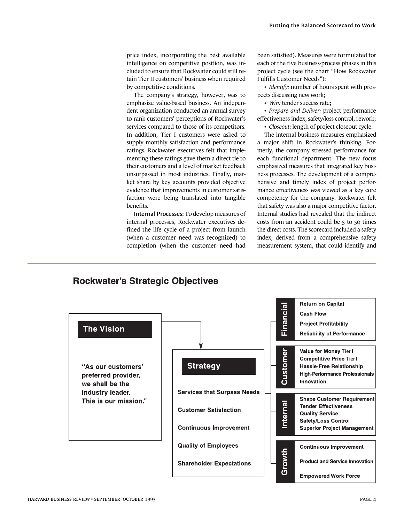price index, incorporating the best available intelligence on competitive position, was included to ensure that Rockwater could still retain Tier II customers' business when required by competitive conditions.

The company's strategy, however, was to emphasize value-based business. An independent organization conducted an annual survey to rank customers' perceptions of Rockwater's services compared to those of its competitors. In addition, Tier I customers were asked to supply monthly satisfaction and performance ratings. Rockwater executives felt that implementing these ratings gave them a direct tie to their customers and a level of market feedback unsurpassed in most industries. Finally, market share by key accounts provided objective evidence that improvements in customer satisfaction were being translated into tangible benefits.

**Internal Processes:** To develop measures of internal processes, Rockwater executives defined the life cycle of a project from launch (when a customer need was recognized) to completion (when the customer need had

been satisfied). Measures were formulated for each of the five business-process phases in this project cycle (see the chart "How Rockwater Fulfills Customer Needs"):

• *Identify:* number of hours spent with prospects discussing new work;

• *Win:* tender success rate;

• *Prepare and Deliver:* project performance effectiveness index, safety/loss control, rework;

• *Closeout*: length of project closeout cycle.

The internal business measures emphasized a major shift in Rockwater's thinking. Formerly, the company stressed performance for each functional department. The new focus emphasized measures that integrated key business processes. The development of a comprehensive and timely index of project performance effectiveness was viewed as a key core competency for the company. Rockwater felt that safety was also a major competitive factor. Internal studies had revealed that the indirect costs from an accident could be 5 to 50 times the direct costs. The scorecard included a safety index, derived from a comprehensive safety measurement system, that could identify and

#### **Rockwater's Strategic Objectives**

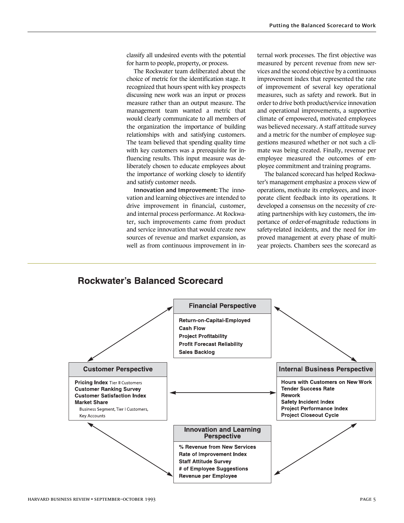classify all undesired events with the potential for harm to people, property, or process.

The Rockwater team deliberated about the choice of metric for the identification stage. It recognized that hours spent with key prospects discussing new work was an input or process measure rather than an output measure. The management team wanted a metric that would clearly communicate to all members of the organization the importance of building relationships with and satisfying customers. The team believed that spending quality time with key customers was a prerequisite for influencing results. This input measure was deliberately chosen to educate employees about the importance of working closely to identify and satisfy customer needs.

**Innovation and Improvement:** The innovation and learning objectives are intended to drive improvement in financial, customer, and internal process performance. At Rockwater, such improvements came from product and service innovation that would create new sources of revenue and market expansion, as well as from continuous improvement in internal work processes. The first objective was measured by percent revenue from new services and the second objective by a continuous improvement index that represented the rate of improvement of several key operational measures, such as safety and rework. But in order to drive both product/service innovation and operational improvements, a supportive climate of empowered, motivated employees was believed necessary. A staff attitude survey and a metric for the number of employee suggestions measured whether or not such a climate was being created. Finally, revenue per employee measured the outcomes of employee commitment and training programs.

The balanced scorecard has helped Rockwater's management emphasize a process view of operations, motivate its employees, and incorporate client feedback into its operations. It developed a consensus on the necessity of creating partnerships with key customers, the importance of order-of-magnitude reductions in safety-related incidents, and the need for improved management at every phase of multiyear projects. Chambers sees the scorecard as

### **Rockwater's Balanced Scorecard**

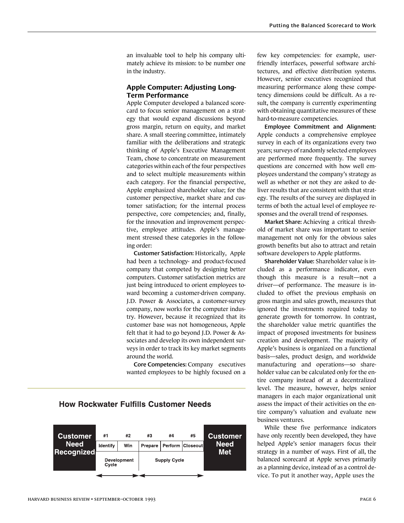an invaluable tool to help his company ultimately achieve its mission: to be number one in the industry.

#### **Apple Computer: Adjusting Long-Term Performance**

Apple Computer developed a balanced scorecard to focus senior management on a strategy that would expand discussions beyond gross margin, return on equity, and market share. A small steering committee, intimately familiar with the deliberations and strategic thinking of Apple's Executive Management Team, chose to concentrate on measurement categories within each of the four perspectives and to select multiple measurements within each category. For the financial perspective, Apple emphasized shareholder value; for the customer perspective, market share and customer satisfaction; for the internal process perspective, core competencies; and, finally, for the innovation and improvement perspective, employee attitudes. Apple's management stressed these categories in the following order:

**Customer Satisfaction:** Historically, Apple had been a technology- and product-focused company that competed by designing better computers. Customer satisfaction metrics are just being introduced to orient employees toward becoming a customer-driven company. J.D. Power & Associates, a customer-survey company, now works for the computer industry. However, because it recognized that its customer base was not homogeneous, Apple felt that it had to go beyond J.D. Power & Associates and develop its own independent surveys in order to track its key market segments around the world.

**Core Competencies:** Company executives wanted employees to be highly focused on a



**How Rockwater Fulfills Customer Needs** 

few key competencies: for example, userfriendly interfaces, powerful software architectures, and effective distribution systems. However, senior executives recognized that measuring performance along these competency dimensions could be difficult. As a result, the company is currently experimenting with obtaining quantitative measures of these hard-to-measure competencies.

**Employee Commitment and Alignment:** Apple conducts a comprehensive employee survey in each of its organizations every two years; surveys of randomly selected employees are performed more frequently. The survey questions are concerned with how well employees understand the company's strategy as well as whether or not they are asked to deliver results that are consistent with that strategy. The results of the survey are displayed in terms of both the actual level of employee responses and the overall trend of responses.

**Market Share:** Achieving a critical threshold of market share was important to senior management not only for the obvious sales growth benefits but also to attract and retain software developers to Apple platforms.

**Shareholder Value:** Shareholder value is included as a performance indicator, even though this measure is a result—not a driver—of performance. The measure is included to offset the previous emphasis on gross margin and sales growth, measures that ignored the investments required today to generate growth for tomorrow. In contrast, the shareholder value metric quantifies the impact of proposed investments for business creation and development. The majority of Apple's business is organized on a functional basis—sales, product design, and worldwide manufacturing and operations—so shareholder value can be calculated only for the entire company instead of at a decentralized level. The measure, however, helps senior managers in each major organizational unit assess the impact of their activities on the entire company's valuation and evaluate new business ventures.

While these five performance indicators have only recently been developed, they have helped Apple's senior managers focus their strategy in a number of ways. First of all, the balanced scorecard at Apple serves primarily as a planning device, instead of as a control device. To put it another way, Apple uses the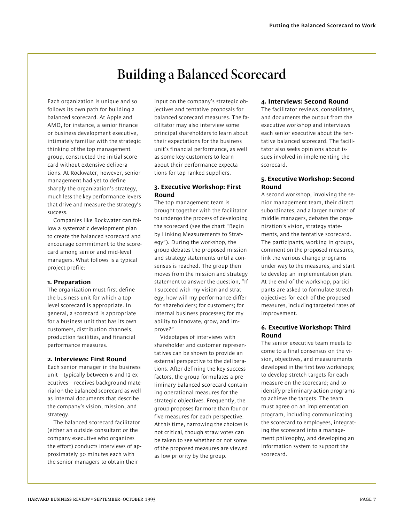## **Building a Balanced Scorecard**

Each organization is unique and so follows its own path for building a balanced scorecard. At Apple and AMD, for instance, a senior finance or business development executive, intimately familiar with the strategic thinking of the top management group, constructed the initial scorecard without extensive deliberations. At Rockwater, however, senior management had yet to define sharply the organization's strategy, much less the key performance levers that drive and measure the strategy's success.

Companies like Rockwater can follow a systematic development plan to create the balanced scorecard and encourage commitment to the scorecard among senior and mid-level managers. What follows is a typical project profile:

#### **1. Preparation**

The organization must first define the business unit for which a toplevel scorecard is appropriate. In general, a scorecard is appropriate for a business unit that has its own customers, distribution channels, production facilities, and financial performance measures.

#### **2. Interviews: First Round**

Each senior manager in the business unit—typically between 6 and 12 executives—receives background material on the balanced scorecard as well as internal documents that describe the company's vision, mission, and strategy.

The balanced scorecard facilitator (either an outside consultant or the company executive who organizes the effort) conducts interviews of approximately 90 minutes each with the senior managers to obtain their

input on the company's strategic objectives and tentative proposals for balanced scorecard measures. The facilitator may also interview some principal shareholders to learn about their expectations for the business unit's financial performance, as well as some key customers to learn about their performance expectations for top-ranked suppliers.

#### **3. Executive Workshop: First Round**

The top management team is brought together with the facilitator to undergo the process of developing the scorecard (see the chart "Begin by Linking Measurements to Strategy"). During the workshop, the group debates the proposed mission and strategy statements until a consensus is reached. The group then moves from the mission and strategy statement to answer the question, "If I succeed with my vision and strategy, how will my performance differ for shareholders; for customers; for internal business processes; for my ability to innovate, grow, and improve?"

Videotapes of interviews with shareholder and customer representatives can be shown to provide an external perspective to the deliberations. After defining the key success factors, the group formulates a preliminary balanced scorecard containing operational measures for the strategic objectives. Frequently, the group proposes far more than four or five measures for each perspective. At this time, narrowing the choices is not critical, though straw votes can be taken to see whether or not some of the proposed measures are viewed as low priority by the group.

#### **4. Interviews: Second Round**

The facilitator reviews, consolidates, and documents the output from the executive workshop and interviews each senior executive about the tentative balanced scorecard. The facilitator also seeks opinions about issues involved in implementing the scorecard.

#### **5. Executive Workshop: Second Round**

A second workshop, involving the senior management team, their direct subordinates, and a larger number of middle managers, debates the organization's vision, strategy statements, and the tentative scorecard. The participants, working in groups, comment on the proposed measures, link the various change programs under way to the measures, and start to develop an implementation plan. At the end of the workshop, participants are asked to formulate stretch objectives for each of the proposed measures, including targeted rates of improvement.

#### **6. Executive Workshop: Third Round**

The senior executive team meets to come to a final consensus on the vision, objectives, and measurements developed in the first two workshops; to develop stretch targets for each measure on the scorecard; and to identify preliminary action programs to achieve the targets. The team must agree on an implementation program, including communicating the scorecard to employees, integrating the scorecard into a management philosophy, and developing an information system to support the scorecard.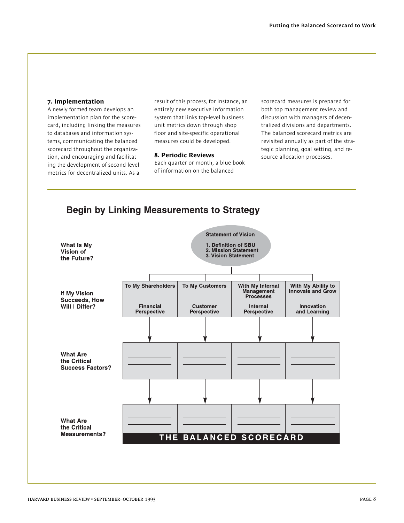#### **7. Implementation**

A newly formed team develops an implementation plan for the scorecard, including linking the measures to databases and information systems, communicating the balanced scorecard throughout the organization, and encouraging and facilitating the development of second-level metrics for decentralized units. As a

result of this process, for instance, an entirely new executive information system that links top-level business unit metrics down through shop floor and site-specific operational measures could be developed.

#### **8. Periodic Reviews**

Each quarter or month, a blue book of information on the balanced

scorecard measures is prepared for both top management review and discussion with managers of decentralized divisions and departments. The balanced scorecard metrics are revisited annually as part of the strategic planning, goal setting, and resource allocation processes.

#### **Begin by Linking Measurements to Strategy**

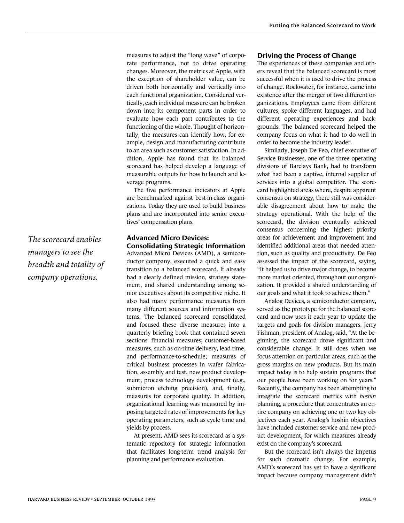measures to adjust the "long wave" of corporate performance, not to drive operating changes. Moreover, the metrics at Apple, with the exception of shareholder value, can be driven both horizontally and vertically into each functional organization. Considered vertically, each individual measure can be broken down into its component parts in order to evaluate how each part contributes to the functioning of the whole. Thought of horizontally, the measures can identify how, for example, design and manufacturing contribute to an area such as customer satisfaction. In addition, Apple has found that its balanced scorecard has helped develop a language of measurable outputs for how to launch and leverage programs.

The five performance indicators at Apple are benchmarked against best-in-class organizations. Today they are used to build business plans and are incorporated into senior executives' compensation plans.

#### **Advanced Micro Devices: Consolidating Strategic Information**

Advanced Micro Devices (AMD), a semiconductor company, executed a quick and easy transition to a balanced scorecard. It already had a clearly defined mission, strategy statement, and shared understanding among senior executives about its competitive niche. It also had many performance measures from many different sources and information systems. The balanced scorecard consolidated and focused these diverse measures into a quarterly briefing book that contained seven sections: financial measures; customer-based measures, such as on-time delivery, lead time, and performance-to-schedule; measures of critical business processes in wafer fabrication, assembly and test, new product development, process technology development (e.g., submicron etching precision), and, finally, measures for corporate quality. In addition, organizational learning was measured by imposing targeted rates of improvements for key operating parameters, such as cycle time and yields by process.

At present, AMD sees its scorecard as a systematic repository for strategic information that facilitates long-term trend analysis for planning and performance evaluation.

#### **Driving the Process of Change**

The experiences of these companies and others reveal that the balanced scorecard is most successful when it is used to drive the process of change. Rockwater, for instance, came into existence after the merger of two different organizations. Employees came from different cultures, spoke different languages, and had different operating experiences and backgrounds. The balanced scorecard helped the company focus on what it had to do well in order to become the industry leader.

Similarly, Joseph De Feo, chief executive of Service Businesses, one of the three operating divisions of Barclays Bank, had to transform what had been a captive, internal supplier of services into a global competitor. The scorecard highlighted areas where, despite apparent consensus on strategy, there still was considerable disagreement about how to make the strategy operational. With the help of the scorecard, the division eventually achieved consensus concerning the highest priority areas for achievement and improvement and identified additional areas that needed attention, such as quality and productivity. De Feo assessed the impact of the scorecard, saying, "It helped us to drive major change, to become more market oriented, throughout our organization. It provided a shared understanding of our goals and what it took to achieve them."

Analog Devices, a semiconductor company, served as the prototype for the balanced scorecard and now uses it each year to update the targets and goals for division managers. Jerry Fishman, president of Analog, said, "At the beginning, the scorecard drove significant and considerable change. It still does when we focus attention on particular areas, such as the gross margins on new products. But its main impact today is to help sustain programs that our people have been working on for years." Recently, the company has been attempting to integrate the scorecard metrics with *hoshin* planning, a procedure that concentrates an entire company on achieving one or two key objectives each year. Analog's hoshin objectives have included customer service and new product development, for which measures already exist on the company's scorecard.

But the scorecard isn't always the impetus for such dramatic change. For example, AMD's scorecard has yet to have a significant impact because company management didn't

*The scorecard enables managers to see the breadth and totality of company operations.*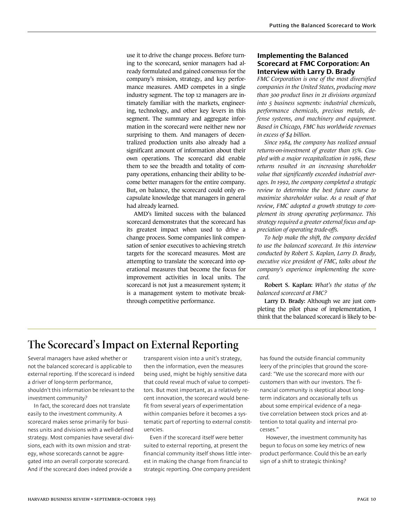use it to drive the change process. Before turning to the scorecard, senior managers had already formulated and gained consensus for the company's mission, strategy, and key performance measures. AMD competes in a single industry segment. The top 12 managers are intimately familiar with the markets, engineering, technology, and other key levers in this segment. The summary and aggregate information in the scorecard were neither new nor surprising to them. And managers of decentralized production units also already had a significant amount of information about their own operations. The scorecard did enable them to see the breadth and totality of company operations, enhancing their ability to become better managers for the entire company. But, on balance, the scorecard could only encapsulate knowledge that managers in general had already learned.

AMD's limited success with the balanced scorecard demonstrates that the scorecard has its greatest impact when used to drive a change process. Some companies link compensation of senior executives to achieving stretch targets for the scorecard measures. Most are attempting to translate the scorecard into operational measures that become the focus for improvement activities in local units. The scorecard is not just a measurement system; it is a management system to motivate breakthrough competitive performance.

#### **Implementing the Balanced Scorecard at FMC Corporation: An Interview with Larry D. Brady**

*FMC Corporation is one of the most diversified companies in the United States, producing more than 300 product lines in 21 divisions organized into 5 business segments: industrial chemicals, performance chemicals, precious metals, defense systems, and machinery and equipment. Based in Chicago, FMC has worldwide revenues in excess of \$4 billion.*

*Since 1984, the company has realized annual returns-on-investment of greater than 15%. Coupled with a major recapitalization in 1986, these returns resulted in an increasing shareholder value that significantly exceeded industrial averages. In 1992, the company completed a strategic review to determine the best future course to maximize shareholder value. As a result of that review, FMC adopted a growth strategy to complement its strong operating performance. This strategy required a greater external focus and appreciation of operating trade-offs.*

*To help make the shift, the company decided to use the balanced scorecard. In this interview conducted by Robert S. Kaplan, Larry D. Brady, executive vice president of FMC, talks about the company's experience implementing the scorecard.*

**Robert S. Kaplan:** *What's the status of the balanced scorecard at FMC?*

**Larry D. Brady:** Although we are just completing the pilot phase of implementation, I think that the balanced scorecard is likely to be-

## **The Scorecard's Impact on External Reporting**

Several managers have asked whether or not the balanced scorecard is applicable to external reporting. If the scorecard is indeed a driver of long-term performance, shouldn't this information be relevant to the investment community?

In fact, the scorecard does not translate easily to the investment community. A scorecard makes sense primarily for business units and divisions with a well-defined strategy. Most companies have several divisions, each with its own mission and strategy, whose scorecards cannot be aggregated into an overall corporate scorecard. And if the scorecard does indeed provide a

transparent vision into a unit's strategy, then the information, even the measures being used, might be highly sensitive data that could reveal much of value to competitors. But most important, as a relatively recent innovation, the scorecard would benefit from several years of experimentation within companies before it becomes a systematic part of reporting to external constituencies.

Even if the scorecard itself were better suited to external reporting, at present the financial community itself shows little interest in making the change from financial to strategic reporting. One company president

has found the outside financial community leery of the principles that ground the scorecard: "We use the scorecard more with our customers than with our investors. The financial community is skeptical about longterm indicators and occasionally tells us about some empirical evidence of a negative correlation between stock prices and attention to total quality and internal processes."

However, the investment community has begun to focus on some key metrics of new product performance. Could this be an early sign of a shift to strategic thinking?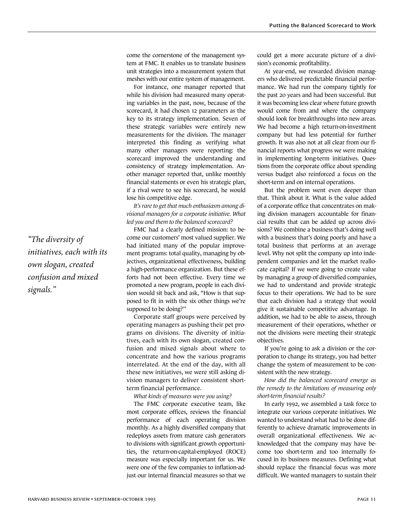come the cornerstone of the management system at FMC. It enables us to translate business unit strategies into a measurement system that meshes with our entire system of management.

For instance, one manager reported that while his division had measured many operating variables in the past, now, because of the scorecard, it had chosen 12 parameters as the key to its strategy implementation. Seven of these strategic variables were entirely new measurements for the division. The manager interpreted this finding as verifying what many other managers were reporting: the scorecard improved the understanding and consistency of strategy implementation. Another manager reported that, unlike monthly financial statements or even his strategic plan, if a rival were to see his scorecard, he would lose his competitive edge.

*It's rare to get that much enthusiasm among divisional managers for a corporate initiative. What led you and them to the balanced scorecard?*

FMC had a clearly defined mission: to become our customers' most valued supplier. We had initiated many of the popular improvement programs: total quality, managing by objectives, organizational effectiveness, building a high-performance organization. But these efforts had not been effective. Every time we promoted a new program, people in each division would sit back and ask, "How is that supposed to fit in with the six other things we're supposed to be doing?''

Corporate staff groups were perceived by operating managers as pushing their pet programs on divisions. The diversity of initiatives, each with its own slogan, created confusion and mixed signals about where to concentrate and how the various programs interrelated. At the end of the day, with all these new initiatives, we were still asking division managers to deliver consistent shortterm financial performance.

*What kinds of measures were you using?*

The FMC corporate executive team, like most corporate offices, reviews the financial performance of each operating division monthly. As a highly diversified company that redeploys assets from mature cash generators to divisions with significant growth opportunities, the return-on-capital-employed (ROCE) measure was especially important for us. We were one of the few companies to inflation-adjust our internal financial measures so that we

could get a more accurate picture of a division's economic profitability.

At year-end, we rewarded division managers who delivered predictable financial performance. We had run the company tightly for the past 20 years and had been successful. But it was becoming less clear where future growth would come from and where the company should look for breakthroughs into new areas. We had become a high return-on-investment company but had less potential for further growth. It was also not at all clear from our financial reports what progress we were making in implementing long-term initiatives. Questions from the corporate office about spending versus budget also reinforced a focus on the short-term and on internal operations.

But the problem went even deeper than that. Think about it. What is the value added of a corporate office that concentrates on making division managers accountable for financial results that can be added up across divisions? We combine a business that's doing well with a business that's doing poorly and have a total business that performs at an average level. Why not split the company up into independent companies and let the market reallocate capital? If we were going to create value by managing a group of diversified companies, we had to understand and provide strategic focus to their operations. We had to be sure that each division had a strategy that would give it sustainable competitive advantage. In addition, we had to be able to assess, through measurement of their operations, whether or not the divisions were meeting their strategic objectives.

If you're going to ask a division or the corporation to change its strategy, you had better change the system of measurement to be consistent with the new strategy.

*How did the balanced scorecard emerge as the remedy to the limitations of measuring only short-term financial results?*

In early 1992, we assembled a task force to integrate our various corporate initiatives. We wanted to understand what had to be done differently to achieve dramatic improvements in overall organizational effectiveness. We acknowledged that the company may have become too short-term and too internally focused in its business measures. Defining what should replace the financial focus was more difficult. We wanted managers to sustain their

*"The diversity of initiatives, each with its own slogan, created confusion and mixed signals."*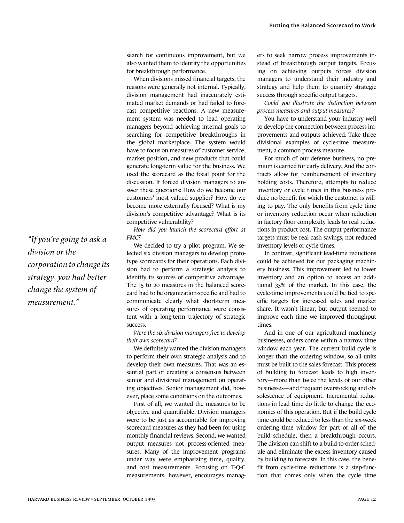search for continuous improvement, but we also wanted them to identify the opportunities for breakthrough performance.

When divisions missed financial targets, the reasons were generally not internal. Typically, division management had inaccurately estimated market demands or had failed to forecast competitive reactions. A new measurement system was needed to lead operating managers beyond achieving internal goals to searching for competitive breakthroughs in the global marketplace. The system would have to focus on measures of customer service, market position, and new products that could generate long-term value for the business. We used the scorecard as the focal point for the discussion. It forced division managers to answer these questions: How do we become our customers' most valued supplier? How do we become more externally focused? What is my division's competitive advantage? What is its competitive vulnerability?

*How did you launch the scorecard effort at FMC?*

We decided to try a pilot program. We selected six division managers to develop prototype scorecards for their operations. Each division had to perform a strategic analysis to identify its sources of competitive advantage. The 15 to 20 measures in the balanced scorecard had to be organization-specific and had to communicate clearly what short-term measures of operating performance were consistent with a long-term trajectory of strategic success.

*Were the six division managers free to develop their own scorecard?*

We definitely wanted the division managers to perform their own strategic analysis and to develop their own measures. That was an essential part of creating a consensus between senior and divisional management on operating objectives. Senior management did, however, place some conditions on the outcomes.

First of all, we wanted the measures to be objective and quantifiable. Division managers were to be just as accountable for improving scorecard measures as they had been for using monthly financial reviews. Second, we wanted output measures not process-oriented measures. Many of the improvement programs under way were emphasizing time, quality, and cost measurements. Focusing on T-Q-C measurements, however, encourages managers to seek narrow process improvements instead of breakthrough output targets. Focusing on achieving outputs forces division managers to understand their industry and strategy and help them to quantify strategic success through specific output targets.

*Could you illustrate the distinction between process measures and output measures?*

You have to understand your industry well to develop the connection between process improvements and outputs achieved. Take three divisional examples of cycle-time measurement, a common process measure.

For much of our defense business, no premium is earned for early delivery. And the contracts allow for reimbursement of inventory holding costs. Therefore, attempts to reduce inventory or cycle times in this business produce no benefit for which the customer is willing to pay. The only benefits from cycle time or inventory reduction occur when reduction in factory-floor complexity leads to real reductions in product cost. The output performance targets must be real cash savings, not reduced inventory levels or cycle times.

In contrast, significant lead-time reductions could be achieved for our packaging machinery business. This improvement led to lower inventory and an option to access an additional 35% of the market. In this case, the cycle-time improvements could be tied to specific targets for increased sales and market share. It wasn't linear, but output seemed to improve each time we improved throughput times.

And in one of our agricultural machinery businesses, orders come within a narrow time window each year. The current build cycle is longer than the ordering window, so all units must be built to the sales forecast. This process of building to forecast leads to high inventory—more than twice the levels of our other businesses—and frequent overstocking and obsolescence of equipment. Incremental reductions in lead time do little to change the economics of this operation. But if the build cycle time could be reduced to less than the six-week ordering time window for part or all of the build schedule, then a breakthrough occurs. The division can shift to a build-to-order schedule and eliminate the excess inventory caused by building to forecasts. In this case, the benefit from cycle-time reductions is a step-function that comes only when the cycle time

*"If you're going to ask a division or the corporation to change its strategy, you had better change the system of measurement."*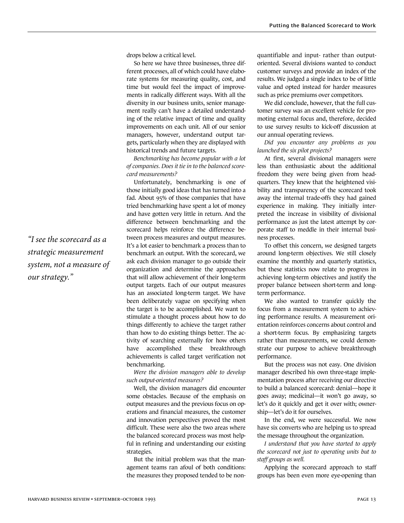drops below a critical level.

So here we have three businesses, three different processes, all of which could have elaborate systems for measuring quality, cost, and time but would feel the impact of improvements in radically different ways. With all the diversity in our business units, senior management really can't have a detailed understanding of the relative impact of time and quality improvements on each unit. All of our senior managers, however, understand output targets, particularly when they are displayed with historical trends and future targets.

*Benchmarking has become popular with a lot of companies. Does it tie in to the balanced scorecard measurements?*

Unfortunately, benchmarking is one of those initially good ideas that has turned into a fad. About 95% of those companies that have tried benchmarking have spent a lot of money and have gotten very little in return. And the difference between benchmarking and the scorecard helps reinforce the difference between process measures and output measures. It's a lot easier to benchmark a process than to benchmark an output. With the scorecard, we ask each division manager to go outside their organization and determine the approaches that will allow achievement of their long-term output targets. Each of our output measures has an associated long-term target. We have been deliberately vague on specifying when the target is to be accomplished. We want to stimulate a thought process about how to do things differently to achieve the target rather than how to do existing things better. The activity of searching externally for how others have accomplished these breakthrough achievements is called target verification not benchmarking.

*Were the division managers able to develop such output-oriented measures?*

Well, the division managers did encounter some obstacles. Because of the emphasis on output measures and the previous focus on operations and financial measures, the customer and innovation perspectives proved the most difficult. These were also the two areas where the balanced scorecard process was most helpful in refining and understanding our existing strategies.

But the initial problem was that the management teams ran afoul of both conditions: the measures they proposed tended to be nonquantifiable and input- rather than outputoriented. Several divisions wanted to conduct customer surveys and provide an index of the results. We judged a single index to be of little value and opted instead for harder measures such as price premiums over competitors.

We did conclude, however, that the full customer survey was an excellent vehicle for promoting external focus and, therefore, decided to use survey results to kick-off discussion at our annual operating reviews.

*Did you encounter any problems as you launched the six pilot projects?*

At first, several divisional managers were less than enthusiastic about the additional freedom they were being given from headquarters. They knew that the heightened visibility and transparency of the scorecard took away the internal trade-offs they had gained experience in making. They initially interpreted the increase in visibility of divisional performance as just the latest attempt by corporate staff to meddle in their internal business processes.

To offset this concern, we designed targets around long-term objectives. We still closely examine the monthly and quarterly statistics, but these statistics now relate to progress in achieving long-term objectives and justify the proper balance between short-term and longterm performance.

We also wanted to transfer quickly the focus from a measurement system to achieving performance results. A measurement orientation reinforces concerns about control and a short-term focus. By emphasizing targets rather than measurements, we could demonstrate our purpose to achieve breakthrough performance.

But the process was not easy. One division manager described his own three-stage implementation process after receiving our directive to build a balanced scorecard: denial—hope it goes away; medicinal—it won't go away, so let's do it quickly and get it over with; ownership—let's do it for ourselves.

In the end, we were successful. We now have six converts who are helping us to spread the message throughout the organization.

*I understand that you have started to apply the scorecard not just to operating units but to staff groups as well.*

Applying the scorecard approach to staff groups has been even more eye-opening than

*"I see the scorecard as a strategic measurement system, not a measure of our strategy."*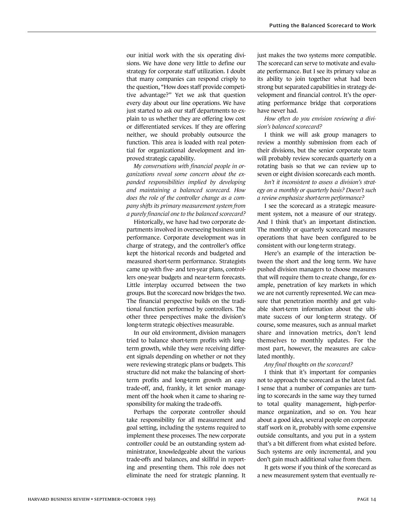our initial work with the six operating divisions. We have done very little to define our strategy for corporate staff utilization. I doubt that many companies can respond crisply to the question, "How does staff provide competitive advantage?'' Yet we ask that question every day about our line operations. We have just started to ask our staff departments to explain to us whether they are offering low cost or differentiated services. If they are offering neither, we should probably outsource the function. This area is loaded with real potential for organizational development and improved strategic capability.

*My conversations with financial people in organizations reveal some concern about the expanded responsibilities implied by developing and maintaining a balanced scorecard. How does the role of the controller change as a company shifts its primary measurement system from a purely financial one to the balanced scorecard?*

Historically, we have had two corporate departments involved in overseeing business unit performance. Corporate development was in charge of strategy, and the controller's office kept the historical records and budgeted and measured short-term performance. Strategists came up with five- and ten-year plans, controllers one-year budgets and near-term forecasts. Little interplay occurred between the two groups. But the scorecard now bridges the two. The financial perspective builds on the traditional function performed by controllers. The other three perspectives make the division's long-term strategic objectives measurable.

In our old environment, division managers tried to balance short-term profits with longterm growth, while they were receiving different signals depending on whether or not they were reviewing strategic plans or budgets. This structure did not make the balancing of shortterm profits and long-term growth an easy trade-off, and, frankly, it let senior management off the hook when it came to sharing responsibility for making the trade-offs.

Perhaps the corporate controller should take responsibility for all measurement and goal setting, including the systems required to implement these processes. The new corporate controller could be an outstanding system administrator, knowledgeable about the various trade-offs and balances, and skillful in reporting and presenting them. This role does not eliminate the need for strategic planning. It

just makes the two systems more compatible. The scorecard can serve to motivate and evaluate performance. But I see its primary value as its ability to join together what had been strong but separated capabilities in strategy development and financial control. It's the operating performance bridge that corporations have never had.

*How often do you envision reviewing a division's balanced scorecard?*

I think we will ask group managers to review a monthly submission from each of their divisions, but the senior corporate team will probably review scorecards quarterly on a rotating basis so that we can review up to seven or eight division scorecards each month.

*Isn't it inconsistent to assess a division's strategy on a monthly or quarterly basis? Doesn't such a review emphasize short-term performance?*

I see the scorecard as a strategic measurement system, not a measure of our strategy. And I think that's an important distinction. The monthly or quarterly scorecard measures operations that have been configured to be consistent with our long-term strategy.

Here's an example of the interaction between the short and the long term. We have pushed division managers to choose measures that will require them to create change, for example, penetration of key markets in which we are not currently represented. We can measure that penetration monthly and get valuable short-term information about the ultimate success of our long-term strategy. Of course, some measures, such as annual market share and innovation metrics, don't lend themselves to monthly updates. For the most part, however, the measures are calculated monthly.

*Any final thoughts on the scorecard?*

I think that it's important for companies not to approach the scorecard as the latest fad. I sense that a number of companies are turning to scorecards in the same way they turned to total quality management, high-performance organization, and so on. You hear about a good idea, several people on corporate staff work on it, probably with some expensive outside consultants, and you put in a system that's a bit different from what existed before. Such systems are only incremental, and you don't gain much additional value from them.

It gets worse if you think of the scorecard as a new measurement system that eventually re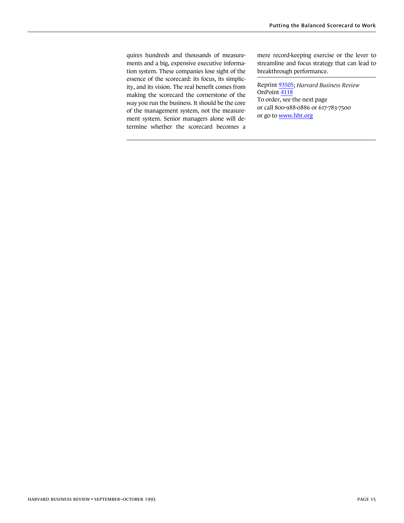quires hundreds and thousands of measurements and a big, expensive executive information system. These companies lose sight of the essence of the scorecard: its focus, its simplicity, and its vision. The real benefit comes from making the scorecard the cornerstone of the way you run the business. It should be the core of the management system, not the measurement system. Senior managers alone will determine whether the scorecard becomes a mere record-keeping exercise or the lever to streamline and focus strategy that can lead to breakthrough performance.

Reprint [93505](http://harvardbusinessonline.hbsp.harvard.edu/relay.jhtml?name=itemdetail&referral=4320&id=93505); *Harvard Business Review* OnPoint [4118](http://harvardbusinessonline.hbsp.harvard.edu/relay.jhtml?name=itemdetail&referral=4320&id=4118) To order, see the next page or call 800-988-0886 or 617-783-7500 or go to [www.hbr.org](http://www.hbr.org)